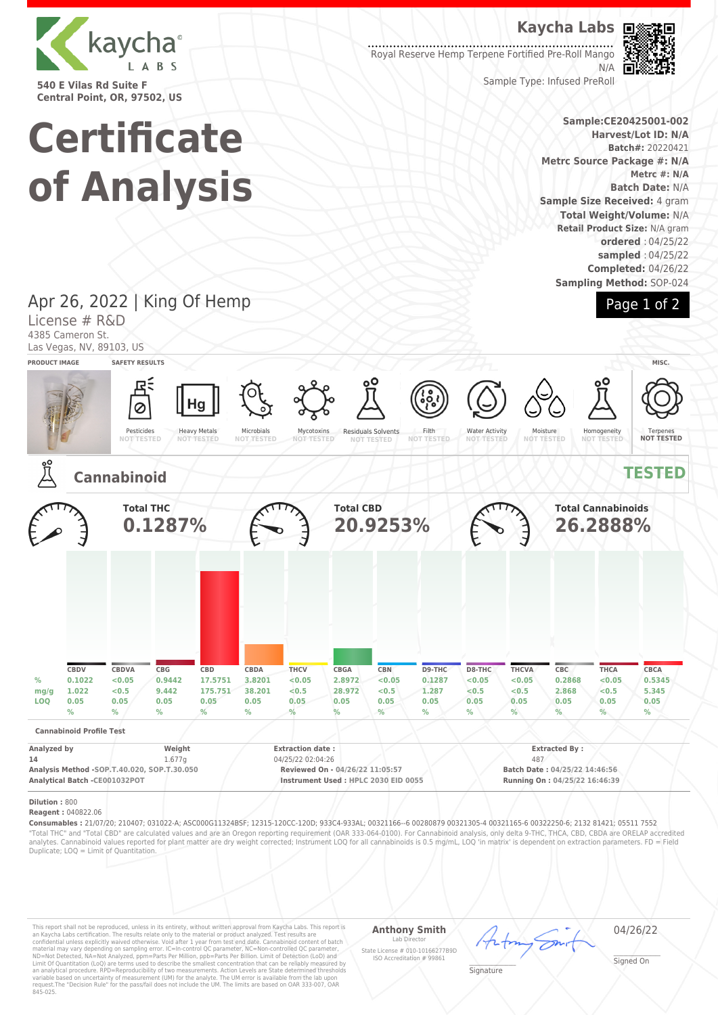

**540 E Vilas Rd Suite F Central Point, OR, 97502, US**

# **Kaycha Labs**

Royal Reserve Hemp Terpene Fortified Pre-Roll Mango N/A



Sample Type: Infused PreRoll

### **Sample:CE20425001-002 Harvest/Lot ID: N/A Batch#:** 20220421 **Metrc Source Package #: N/A Metrc #: N/A Batch Date:** N/A **Sample Size Received:** 4 gram **Total Weight/Volume:** N/A **Retail Product Size:** N/A gram **ordered** : 04/25/22 **sampled** : 04/25/22 **Completed:** 04/26/22

**Sampling Method:** SOP-024



# Apr 26, 2022 | King Of Hemp

**Certificate**

**of Analysis**

License # R&D 4385 Cameron St.

Las Vegas, NV, 89103, US

| <b>PRODUCT IMAGE</b>                                                                              |                                                  | <b>SAFETY RESULTS</b>                |                                                 |                                                |                                          |                                                                                                                        |                                          |                                                      |                                                    |                                                                                               |                                                 |                                                 |                                                         | MISC.                                            |
|---------------------------------------------------------------------------------------------------|--------------------------------------------------|--------------------------------------|-------------------------------------------------|------------------------------------------------|------------------------------------------|------------------------------------------------------------------------------------------------------------------------|------------------------------------------|------------------------------------------------------|----------------------------------------------------|-----------------------------------------------------------------------------------------------|-------------------------------------------------|-------------------------------------------------|---------------------------------------------------------|--------------------------------------------------|
|                                                                                                   |                                                  | Pesticides<br><b>NOT TESTED</b>      |                                                 | Hg<br><b>Heavy Metals</b><br><b>NOT TESTED</b> | Microbials<br><b>NOT TESTED</b>          | Mycotoxins<br><b>NOT TESTED</b>                                                                                        |                                          | ٥O<br><b>Residuals Solvents</b><br><b>NOT TESTED</b> | 600<br>Filth<br><b>NOT TESTED</b>                  | <b>Water Activity</b><br><b>NOT TESTED</b>                                                    |                                                 | Moisture<br><b>NOT TESTED</b>                   | ٥O<br>Homogeneity<br><b>NOT TESTED</b>                  | Terpenes<br>NOT TESTED                           |
| <u>ໍາເ</u>                                                                                        |                                                  | <b>Cannabinoid</b>                   |                                                 |                                                |                                          |                                                                                                                        |                                          |                                                      |                                                    |                                                                                               |                                                 |                                                 |                                                         | <b>TESTED</b>                                    |
|                                                                                                   |                                                  | <b>Total THC</b>                     | 0.1287%                                         |                                                |                                          |                                                                                                                        | <b>Total CBD</b>                         | 20.9253%                                             |                                                    |                                                                                               |                                                 |                                                 | <b>Total Cannabinoids</b><br>26.2888%                   |                                                  |
|                                                                                                   |                                                  |                                      |                                                 |                                                |                                          |                                                                                                                        |                                          |                                                      |                                                    |                                                                                               |                                                 |                                                 |                                                         |                                                  |
| $\%$<br>mg/g<br><b>LOQ</b>                                                                        | CBDV<br>0.1022<br>1.022<br>0.05<br>$\frac{9}{6}$ | CBDVA<br><0.05<br>< 0.5<br>0.05<br>% | CBG<br>0.9442<br>9.442<br>0.05<br>$\frac{9}{6}$ | CBD<br>17.5751<br>175.751<br>0.05<br>$\%$      | CBDA<br>3.8201<br>38.201<br>0.05<br>$\%$ | <b>THCV</b><br>< 0.05<br>< 0.5<br>0.05<br>$\%$                                                                         | CBGA<br>2.8972<br>28,972<br>0.05<br>$\%$ | CBN<br>< 0.05<br><0.5<br>0.05<br>$\frac{9}{6}$       | D9-THC<br>0.1287<br>1.287<br>0.05<br>$\frac{0}{0}$ | D8-THC<br>< 0.05<br>< 0.5<br>0.05<br>$\frac{0}{0}$                                            | <b>THCVA</b><br>< 0.05<br>< 0.5<br>0.05<br>$\%$ | CBC<br>0.2868<br>2.868<br>0.05<br>$\frac{1}{2}$ | <b>THCA</b><br>< 0.05<br>< 0.5<br>0.05<br>$\frac{0}{6}$ | CBCA<br>0.5345<br>5.345<br>0.05<br>$\frac{9}{6}$ |
|                                                                                                   | <b>Cannabinoid Profile Test</b>                  |                                      |                                                 |                                                |                                          |                                                                                                                        |                                          |                                                      |                                                    |                                                                                               |                                                 |                                                 |                                                         |                                                  |
| Analyzed by<br>14<br>Analysis Method -SOP.T.40.020, SOP.T.30.050<br>Analytical Batch -CE001032POT |                                                  |                                      | Weight<br>1.677q                                |                                                |                                          | <b>Extraction date:</b><br>04/25/22 02:04:26<br>Reviewed On - 04/26/22 11:05:57<br>Instrument Used: HPLC 2030 EID 0055 |                                          |                                                      |                                                    | <b>Extracted By:</b><br>487<br>Batch Date: 04/25/22 14:46:56<br>Running On: 04/25/22 16:46:39 |                                                 |                                                 |                                                         |                                                  |
| Dilution: 800                                                                                     |                                                  |                                      |                                                 |                                                |                                          |                                                                                                                        |                                          |                                                      |                                                    |                                                                                               |                                                 |                                                 |                                                         |                                                  |

### **Reagent :** 040822.06

**Consumables :** 21/07/20; 210407; 031022-A; ASC000G11324BSF; 12315-120CC-120D; 933C4-933AL; 00321166--6 00280879 00321305-4 00321165-6 00322250-6; 2132 81421; 05511 7552 "Total THC" and "Total CBD" are calculated values and are an Oregon reporting requirement (OAR 333-064-0100). For Cannabinoid analysis, only delta 9-THC, THCA, CBD, CBDA are ORELAP accredited analytes. Cannabinoid values reported for plant matter are dry weight corrected; Instrument LOQ for all cannabinoids is 0.5 mg/mL, LOQ 'in matrix' is dependent on extraction parameters. FD = Field Duplicate; LOQ = Limit of Quantitation.

This report shall not be reproduced, unless in its entirety, without written approval from Kaycha Labs. This report is<br>an Kaycha Labs certification. The results relate only to the material or product analyzed. Test result

#### **Anthony Smith** Lab Director

04/26/22

State License # 010-10166277B9D ISO Accreditation # 99861

\_\_\_\_\_\_\_\_\_\_\_\_\_\_\_\_\_\_\_ Signature

\_\_\_\_\_\_\_\_\_\_\_\_\_\_\_\_\_\_\_ Signed On